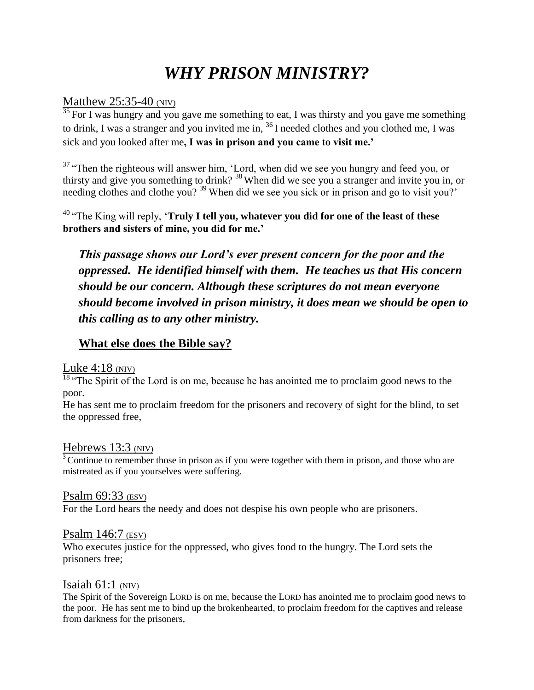# *WHY PRISON MINISTRY?*

#### Matthew 25:35-40 (NIV)

 $\frac{35}{35}$  For I was hungry and you gave me something to eat, I was thirsty and you gave me something to drink, I was a stranger and you invited me in, <sup>36</sup>I needed clothes and you clothed me, I was sick and you looked after me**, I was in prison and you came to visit me.'**

<sup>37</sup> "Then the righteous will answer him, 'Lord, when did we see you hungry and feed you, or thirsty and give you something to drink? <sup>38</sup>When did we see you a stranger and invite you in, or needing clothes and clothe you?<sup>39</sup>When did we see you sick or in prison and go to visit you?'

<sup>40</sup>"The King will reply, '**Truly I tell you, whatever you did for one of the least of these brothers and sisters of mine, you did for me.'**

*This passage shows our Lord's ever present concern for the poor and the oppressed. He identified himself with them. He teaches us that His concern should be our concern. Although these scriptures do not mean everyone should become involved in prison ministry, it does mean we should be open to this calling as to any other ministry.* 

## **What else does the Bible say?**

### Luke  $4:18$  (NIV)

 $\frac{18}{18}$  The Spirit of the Lord is on me, because he has anointed me to proclaim good news to the poor.

He has sent me to proclaim freedom for the prisoners and recovery of sight for the blind, to set the oppressed free,

#### Hebrews 13:3 (NIV)

 $3$  Continue to remember those in prison as if you were together with them in prison, and those who are mistreated as if you yourselves were suffering.

#### Psalm 69:33 (ESV)

For the Lord hears the needy and does not despise his own people who are prisoners.

#### Psalm 146:7 (ESV)

Who executes justice for the oppressed, who gives food to the hungry. The Lord sets the prisoners free;

#### Isaiah  $61:1$  (NIV)

The Spirit of the Sovereign LORD is on me, because the LORD has anointed me to proclaim good news to the poor. He has sent me to bind up the brokenhearted, to proclaim freedom for the captives and release from darkness for the prisoners,